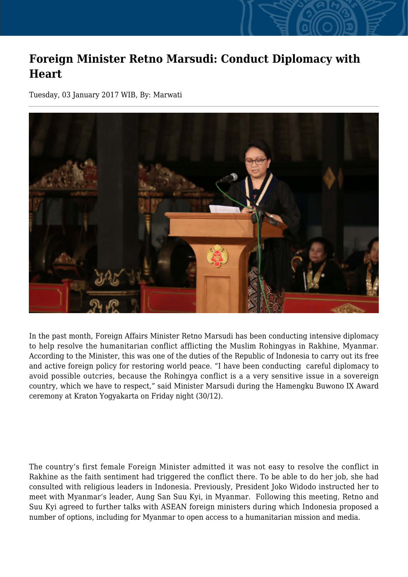## **Foreign Minister Retno Marsudi: Conduct Diplomacy with Heart**

Tuesday, 03 January 2017 WIB, By: Marwati



In the past month, Foreign Affairs Minister Retno Marsudi has been conducting intensive diplomacy to help resolve the humanitarian conflict afflicting the Muslim Rohingyas in Rakhine, Myanmar. According to the Minister, this was one of the duties of the Republic of Indonesia to carry out its free and active foreign policy for restoring world peace. "I have been conducting careful diplomacy to avoid possible outcries, because the Rohingya conflict is a a very sensitive issue in a sovereign country, which we have to respect," said Minister Marsudi during the Hamengku Buwono IX Award ceremony at Kraton Yogyakarta on Friday night (30/12).

The country's first female Foreign Minister admitted it was not easy to resolve the conflict in Rakhine as the faith sentiment had triggered the conflict there. To be able to do her job, she had consulted with religious leaders in Indonesia. Previously, President Joko Widodo instructed her to meet with Myanmar's leader, Aung San Suu Kyi, in Myanmar. Following this meeting, Retno and Suu Kyi agreed to further talks with ASEAN foreign ministers during which Indonesia proposed a number of options, including for Myanmar to open access to a humanitarian mission and media.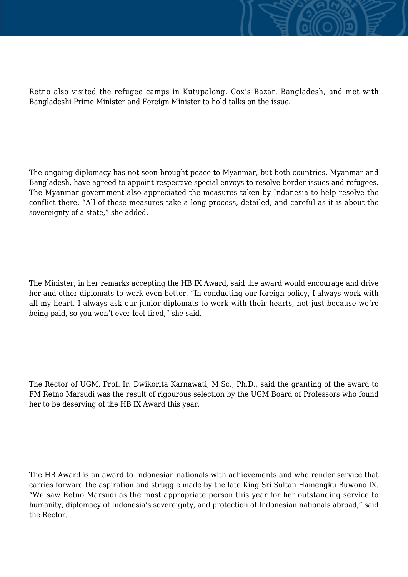

The ongoing diplomacy has not soon brought peace to Myanmar, but both countries, Myanmar and Bangladesh, have agreed to appoint respective special envoys to resolve border issues and refugees. The Myanmar government also appreciated the measures taken by Indonesia to help resolve the conflict there. "All of these measures take a long process, detailed, and careful as it is about the sovereignty of a state," she added.

The Minister, in her remarks accepting the HB IX Award, said the award would encourage and drive her and other diplomats to work even better. "In conducting our foreign policy, I always work with all my heart. I always ask our junior diplomats to work with their hearts, not just because we're being paid, so you won't ever feel tired," she said.

The Rector of UGM, Prof. Ir. Dwikorita Karnawati, M.Sc., Ph.D., said the granting of the award to FM Retno Marsudi was the result of rigourous selection by the UGM Board of Professors who found her to be deserving of the HB IX Award this year.

The HB Award is an award to Indonesian nationals with achievements and who render service that carries forward the aspiration and struggle made by the late King Sri Sultan Hamengku Buwono IX. "We saw Retno Marsudi as the most appropriate person this year for her outstanding service to humanity, diplomacy of Indonesia's sovereignty, and protection of Indonesian nationals abroad," said the Rector.